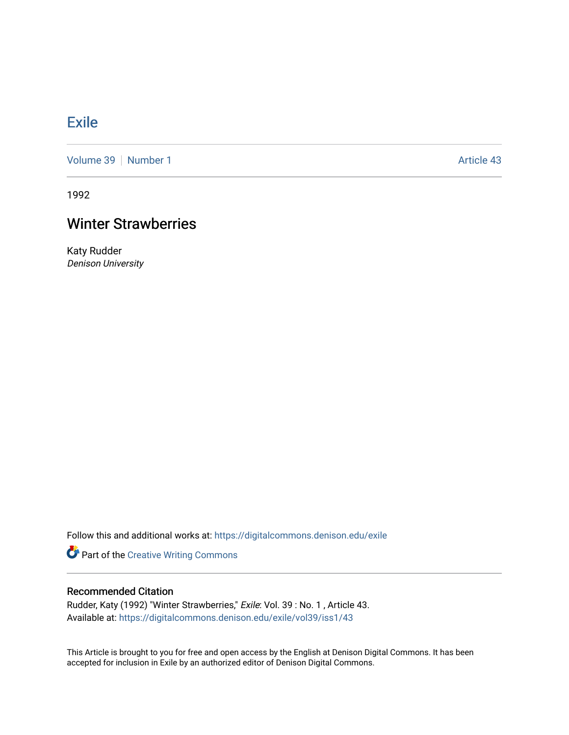## **[Exile](https://digitalcommons.denison.edu/exile)**

[Volume 39](https://digitalcommons.denison.edu/exile/vol39) [Number 1](https://digitalcommons.denison.edu/exile/vol39/iss1) Article 43

1992

## Winter Strawberries

Katy Rudder Denison University

Follow this and additional works at: [https://digitalcommons.denison.edu/exile](https://digitalcommons.denison.edu/exile?utm_source=digitalcommons.denison.edu%2Fexile%2Fvol39%2Fiss1%2F43&utm_medium=PDF&utm_campaign=PDFCoverPages) 

Part of the [Creative Writing Commons](http://network.bepress.com/hgg/discipline/574?utm_source=digitalcommons.denison.edu%2Fexile%2Fvol39%2Fiss1%2F43&utm_medium=PDF&utm_campaign=PDFCoverPages) 

## Recommended Citation

Rudder, Katy (1992) "Winter Strawberries," Exile: Vol. 39 : No. 1 , Article 43. Available at: [https://digitalcommons.denison.edu/exile/vol39/iss1/43](https://digitalcommons.denison.edu/exile/vol39/iss1/43?utm_source=digitalcommons.denison.edu%2Fexile%2Fvol39%2Fiss1%2F43&utm_medium=PDF&utm_campaign=PDFCoverPages)

This Article is brought to you for free and open access by the English at Denison Digital Commons. It has been accepted for inclusion in Exile by an authorized editor of Denison Digital Commons.